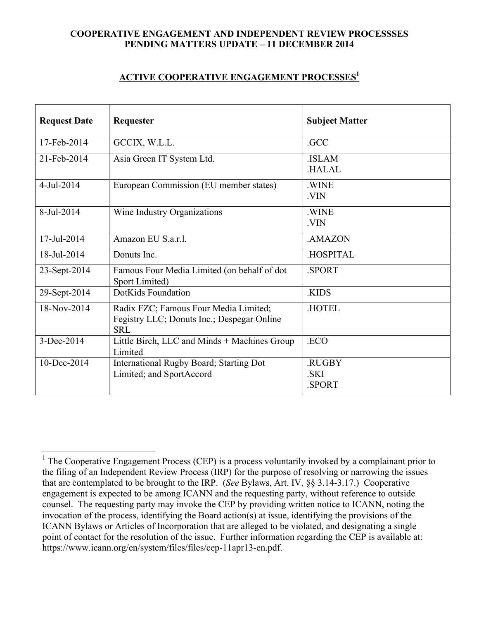## **COOPERATIVE ENGAGEMENT AND INDEPENDENT REVIEW PROCESSSES PENDING MATTERS UPDATE – 11 DECEMBER 2014**

## **ACTIVE COOPERATIVE ENGAGEMENT PROCESSES1**

| <b>Request Date</b> | Requester                                                                                         | <b>Subject Matter</b>          |
|---------------------|---------------------------------------------------------------------------------------------------|--------------------------------|
| 17-Feb-2014         | GCCIX, W.L.L.                                                                                     | .GCC                           |
| 21-Feb-2014         | Asia Green IT System Ltd.                                                                         | .ISLAM<br><b>HALAL</b>         |
| $4-Jul-2014$        | European Commission (EU member states)                                                            | <b>WINE</b><br>.VIN            |
| 8-Jul-2014          | Wine Industry Organizations                                                                       | <b>WINE</b><br>.VIN            |
| 17-Jul-2014         | Amazon EU S.a.r.l.                                                                                | <b>AMAZON</b>                  |
| 18-Jul-2014         | Donuts Inc.                                                                                       | <b>HOSPITAL</b>                |
| 23-Sept-2014        | Famous Four Media Limited (on behalf of dot<br>Sport Limited)                                     | <b>SPORT</b>                   |
| 29-Sept-2014        | DotKids Foundation                                                                                | .KIDS                          |
| 18-Nov-2014         | Radix FZC; Famous Four Media Limited;<br>Fegistry LLC; Donuts Inc.; Despegar Online<br><b>SRL</b> | <b>HOTEL</b>                   |
| 3-Dec-2014          | Little Birch, LLC and Minds + Machines Group<br>Limited                                           | .ECO                           |
| $10 - Dec-2014$     | International Rugby Board; Starting Dot<br>Limited; and SportAccord                               | .RUGBY<br>.SKI<br><b>SPORT</b> |

<sup>&</sup>lt;sup>1</sup> The Cooperative Engagement Process (CEP) is a process voluntarily invoked by a complainant prior to the filing of an Independent Review Process (IRP) for the purpose of resolving or narrowing the issues that are contemplated to be brought to the IRP. (*See* Bylaws, Art. IV, §§ 3.14-3.17.) Cooperative engagement is expected to be among ICANN and the requesting party, without reference to outside counsel. The requesting party may invoke the CEP by providing written notice to ICANN, noting the invocation of the process, identifying the Board action(s) at issue, identifying the provisions of the ICANN Bylaws or Articles of Incorporation that are alleged to be violated, and designating a single point of contact for the resolution of the issue. Further information regarding the CEP is available at: https://www.icann.org/en/system/files/files/cep-11apr13-en.pdf.